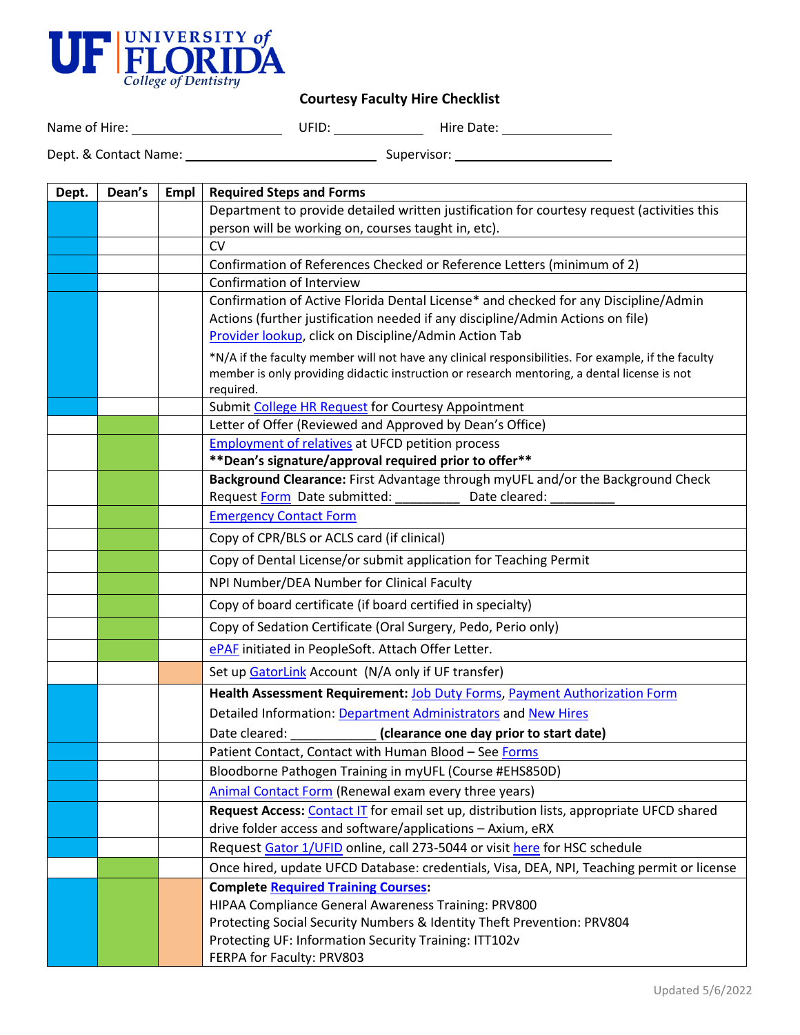

## **Courtesy Faculty Hire Checklist**

Name of Hire: UFID: Hire Date:

Dept. & Contact Name: Supervisor:

| Dept. | Dean's | <b>Empl</b> | <b>Required Steps and Forms</b>                                                                                                                                       |
|-------|--------|-------------|-----------------------------------------------------------------------------------------------------------------------------------------------------------------------|
|       |        |             | Department to provide detailed written justification for courtesy request (activities this                                                                            |
|       |        |             | person will be working on, courses taught in, etc).                                                                                                                   |
|       |        |             | <b>CV</b>                                                                                                                                                             |
|       |        |             | Confirmation of References Checked or Reference Letters (minimum of 2)                                                                                                |
|       |        |             | Confirmation of Interview                                                                                                                                             |
|       |        |             | Confirmation of Active Florida Dental License* and checked for any Discipline/Admin<br>Actions (further justification needed if any discipline/Admin Actions on file) |
|       |        |             | Provider lookup, click on Discipline/Admin Action Tab                                                                                                                 |
|       |        |             | *N/A if the faculty member will not have any clinical responsibilities. For example, if the faculty                                                                   |
|       |        |             | member is only providing didactic instruction or research mentoring, a dental license is not                                                                          |
|       |        |             | required.                                                                                                                                                             |
|       |        |             | Submit College HR Request for Courtesy Appointment                                                                                                                    |
|       |        |             | Letter of Offer (Reviewed and Approved by Dean's Office)<br><b>Employment of relatives at UFCD petition process</b>                                                   |
|       |        |             | ** Dean's signature/approval required prior to offer**                                                                                                                |
|       |        |             | Background Clearance: First Advantage through myUFL and/or the Background Check                                                                                       |
|       |        |             | Request Form Date submitted:<br>Date cleared:                                                                                                                         |
|       |        |             | <b>Emergency Contact Form</b>                                                                                                                                         |
|       |        |             | Copy of CPR/BLS or ACLS card (if clinical)                                                                                                                            |
|       |        |             | Copy of Dental License/or submit application for Teaching Permit                                                                                                      |
|       |        |             | NPI Number/DEA Number for Clinical Faculty                                                                                                                            |
|       |        |             | Copy of board certificate (if board certified in specialty)                                                                                                           |
|       |        |             | Copy of Sedation Certificate (Oral Surgery, Pedo, Perio only)                                                                                                         |
|       |        |             | ePAF initiated in PeopleSoft. Attach Offer Letter.                                                                                                                    |
|       |        |             | Set up GatorLink Account (N/A only if UF transfer)                                                                                                                    |
|       |        |             | Health Assessment Requirement: Job Duty Forms, Payment Authorization Form                                                                                             |
|       |        |             | Detailed Information: Department Administrators and New Hires                                                                                                         |
|       |        |             | Date cleared:<br>(clearance one day prior to start date)                                                                                                              |
|       |        |             | Patient Contact, Contact with Human Blood - See Forms                                                                                                                 |
|       |        |             | Bloodborne Pathogen Training in myUFL (Course #EHS850D)                                                                                                               |
|       |        |             | Animal Contact Form (Renewal exam every three years)                                                                                                                  |
|       |        |             | Request Access: Contact IT for email set up, distribution lists, appropriate UFCD shared<br>drive folder access and software/applications - Axium, eRX                |
|       |        |             | Request Gator 1/UFID online, call 273-5044 or visit here for HSC schedule                                                                                             |
|       |        |             | Once hired, update UFCD Database: credentials, Visa, DEA, NPI, Teaching permit or license                                                                             |
|       |        |             | <b>Complete Required Training Courses:</b>                                                                                                                            |
|       |        |             | HIPAA Compliance General Awareness Training: PRV800                                                                                                                   |
|       |        |             | Protecting Social Security Numbers & Identity Theft Prevention: PRV804                                                                                                |
|       |        |             | Protecting UF: Information Security Training: ITT102v                                                                                                                 |
|       |        |             | FERPA for Faculty: PRV803                                                                                                                                             |